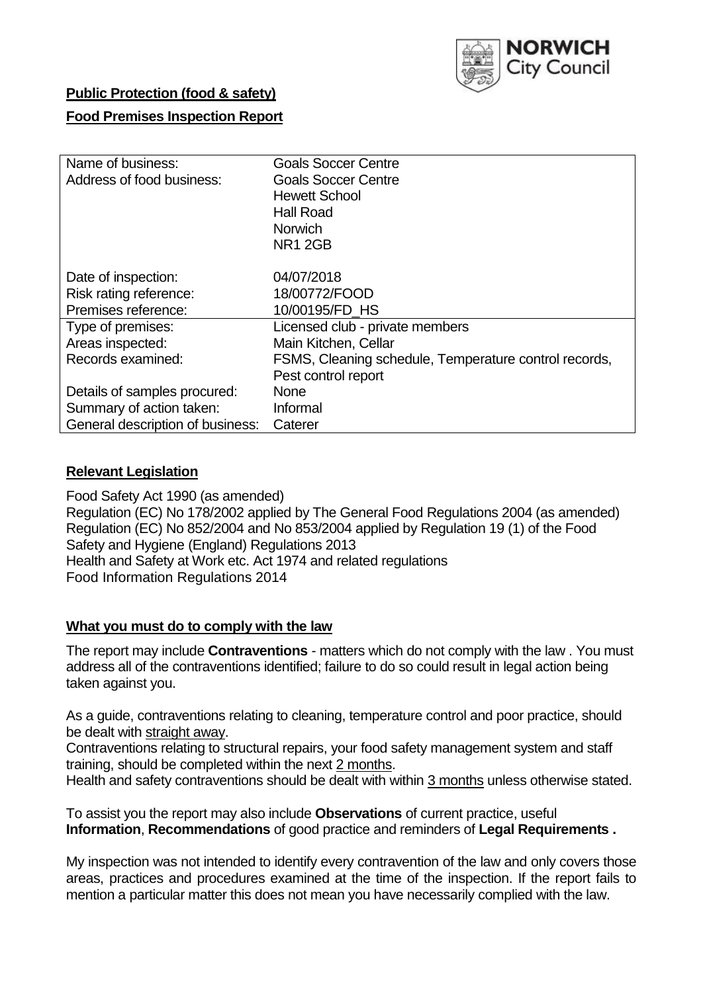

### **Public Protection (food & safety)**

### **Food Premises Inspection Report**

| Name of business:                | <b>Goals Soccer Centre</b>                            |
|----------------------------------|-------------------------------------------------------|
| Address of food business:        | <b>Goals Soccer Centre</b>                            |
|                                  | <b>Hewett School</b>                                  |
|                                  | <b>Hall Road</b>                                      |
|                                  | <b>Norwich</b>                                        |
|                                  | <b>NR1 2GB</b>                                        |
|                                  |                                                       |
| Date of inspection:              | 04/07/2018                                            |
| Risk rating reference:           | 18/00772/FOOD                                         |
| Premises reference:              | 10/00195/FD HS                                        |
| Type of premises:                | Licensed club - private members                       |
| Areas inspected:                 | Main Kitchen, Cellar                                  |
| Records examined:                | FSMS, Cleaning schedule, Temperature control records, |
|                                  | Pest control report                                   |
| Details of samples procured:     | <b>None</b>                                           |
| Summary of action taken:         | Informal                                              |
| General description of business: | Caterer                                               |

### **Relevant Legislation**

Food Safety Act 1990 (as amended) Regulation (EC) No 178/2002 applied by The General Food Regulations 2004 (as amended) Regulation (EC) No 852/2004 and No 853/2004 applied by Regulation 19 (1) of the Food Safety and Hygiene (England) Regulations 2013 Health and Safety at Work etc. Act 1974 and related regulations Food Information Regulations 2014

### **What you must do to comply with the law**

The report may include **Contraventions** - matters which do not comply with the law . You must address all of the contraventions identified; failure to do so could result in legal action being taken against you.

As a guide, contraventions relating to cleaning, temperature control and poor practice, should be dealt with straight away.

Contraventions relating to structural repairs, your food safety management system and staff training, should be completed within the next 2 months.

Health and safety contraventions should be dealt with within 3 months unless otherwise stated.

To assist you the report may also include **Observations** of current practice, useful **Information**, **Recommendations** of good practice and reminders of **Legal Requirements .**

My inspection was not intended to identify every contravention of the law and only covers those areas, practices and procedures examined at the time of the inspection. If the report fails to mention a particular matter this does not mean you have necessarily complied with the law.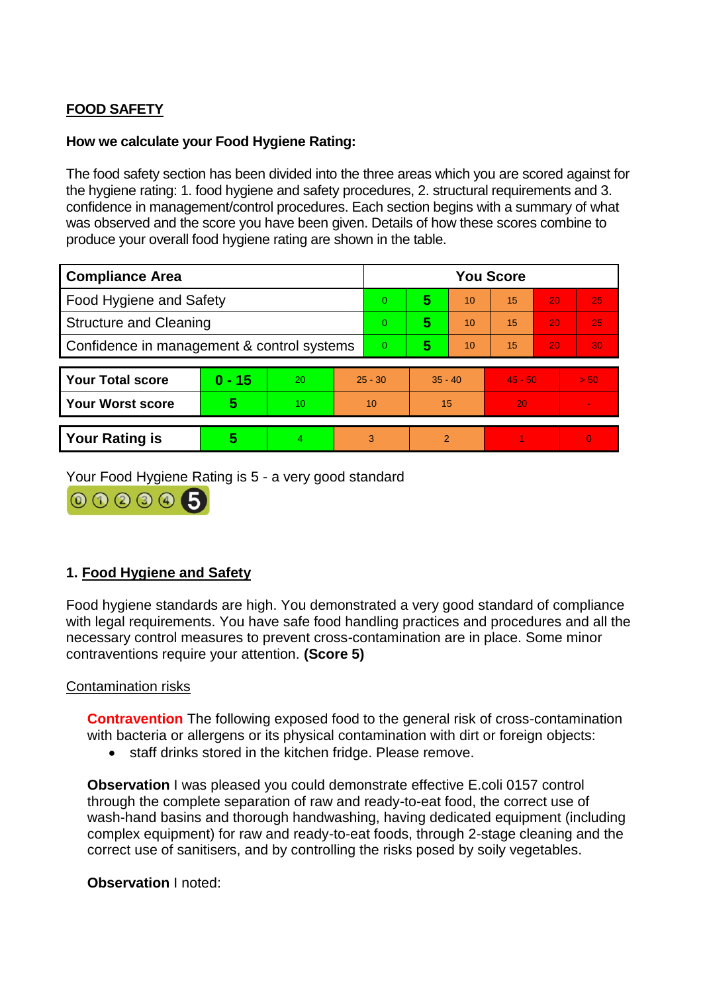# **FOOD SAFETY**

### **How we calculate your Food Hygiene Rating:**

The food safety section has been divided into the three areas which you are scored against for the hygiene rating: 1. food hygiene and safety procedures, 2. structural requirements and 3. confidence in management/control procedures. Each section begins with a summary of what was observed and the score you have been given. Details of how these scores combine to produce your overall food hygiene rating are shown in the table.

| <b>Compliance Area</b>                     |          |    |                | <b>You Score</b> |               |    |           |    |          |  |  |
|--------------------------------------------|----------|----|----------------|------------------|---------------|----|-----------|----|----------|--|--|
| Food Hygiene and Safety                    |          |    |                | $\mathbf{0}$     | 5             | 10 | 15        | 20 | 25       |  |  |
| <b>Structure and Cleaning</b>              |          |    | $\overline{0}$ | 5                | 10            | 15 | 20        | 25 |          |  |  |
| Confidence in management & control systems |          |    | $\Omega$       | 5                | 10            | 15 | 20        | 30 |          |  |  |
|                                            |          |    |                |                  |               |    |           |    |          |  |  |
| <b>Your Total score</b>                    | $0 - 15$ | 20 | $25 - 30$      |                  | $35 - 40$     |    | $45 - 50$ |    | $>$ 50   |  |  |
| <b>Your Worst score</b>                    | 5        | 10 | 10             |                  | 15            |    | 20        |    |          |  |  |
|                                            |          |    |                |                  |               |    |           |    |          |  |  |
| <b>Your Rating is</b>                      | 5        | 4  | 3              |                  | $\mathcal{P}$ |    |           |    | $\Omega$ |  |  |

Your Food Hygiene Rating is 5 - a very good standard

000005

## **1. Food Hygiene and Safety**

Food hygiene standards are high. You demonstrated a very good standard of compliance with legal requirements. You have safe food handling practices and procedures and all the necessary control measures to prevent cross-contamination are in place. Some minor contraventions require your attention. **(Score 5)**

### Contamination risks

**Contravention** The following exposed food to the general risk of cross-contamination with bacteria or allergens or its physical contamination with dirt or foreign objects:

• staff drinks stored in the kitchen fridge. Please remove.

**Observation I** was pleased you could demonstrate effective E.coli 0157 control through the complete separation of raw and ready-to-eat food, the correct use of wash-hand basins and thorough handwashing, having dedicated equipment (including complex equipment) for raw and ready-to-eat foods, through 2-stage cleaning and the correct use of sanitisers, and by controlling the risks posed by soily vegetables.

**Observation** I noted: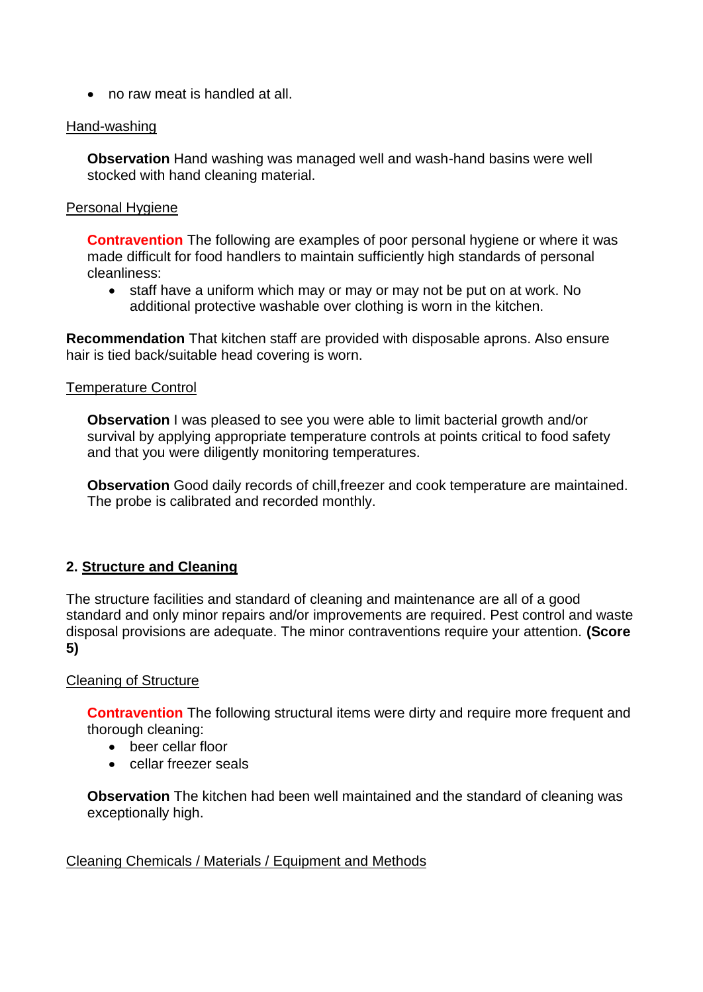no raw meat is handled at all.

### Hand-washing

**Observation** Hand washing was managed well and wash-hand basins were well stocked with hand cleaning material.

#### Personal Hygiene

**Contravention** The following are examples of poor personal hygiene or where it was made difficult for food handlers to maintain sufficiently high standards of personal cleanliness:

• staff have a uniform which may or may or may not be put on at work. No additional protective washable over clothing is worn in the kitchen.

**Recommendation** That kitchen staff are provided with disposable aprons. Also ensure hair is tied back/suitable head covering is worn.

#### Temperature Control

**Observation I** was pleased to see you were able to limit bacterial growth and/or survival by applying appropriate temperature controls at points critical to food safety and that you were diligently monitoring temperatures.

**Observation** Good daily records of chill,freezer and cook temperature are maintained. The probe is calibrated and recorded monthly.

### **2. Structure and Cleaning**

The structure facilities and standard of cleaning and maintenance are all of a good standard and only minor repairs and/or improvements are required. Pest control and waste disposal provisions are adequate. The minor contraventions require your attention. **(Score 5)**

### Cleaning of Structure

**Contravention** The following structural items were dirty and require more frequent and thorough cleaning:

- beer cellar floor
- cellar freezer seals

**Observation** The kitchen had been well maintained and the standard of cleaning was exceptionally high.

### Cleaning Chemicals / Materials / Equipment and Methods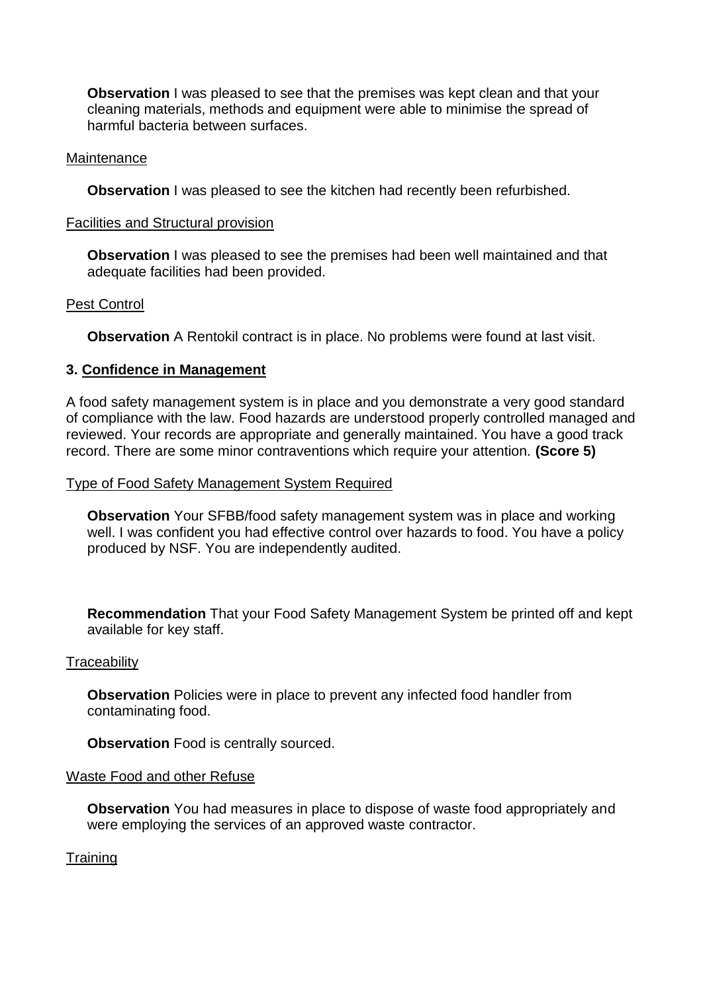**Observation** I was pleased to see that the premises was kept clean and that your cleaning materials, methods and equipment were able to minimise the spread of harmful bacteria between surfaces.

#### Maintenance

**Observation** I was pleased to see the kitchen had recently been refurbished.

#### Facilities and Structural provision

**Observation** I was pleased to see the premises had been well maintained and that adequate facilities had been provided.

#### Pest Control

**Observation** A Rentokil contract is in place. No problems were found at last visit.

#### **3. Confidence in Management**

A food safety management system is in place and you demonstrate a very good standard of compliance with the law. Food hazards are understood properly controlled managed and reviewed. Your records are appropriate and generally maintained. You have a good track record. There are some minor contraventions which require your attention. **(Score 5)**

#### Type of Food Safety Management System Required

**Observation** Your SFBB/food safety management system was in place and working well. I was confident you had effective control over hazards to food. You have a policy produced by NSF. You are independently audited.

**Recommendation** That your Food Safety Management System be printed off and kept available for key staff.

#### **Traceability**

**Observation** Policies were in place to prevent any infected food handler from contaminating food.

**Observation** Food is centrally sourced.

#### Waste Food and other Refuse

**Observation** You had measures in place to dispose of waste food appropriately and were employing the services of an approved waste contractor.

**Training**